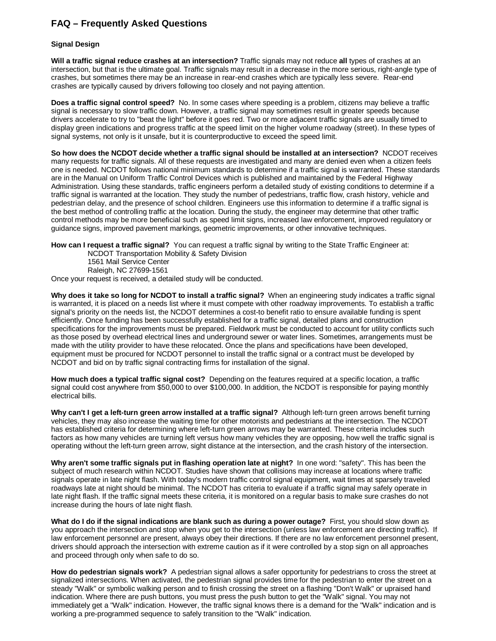## **FAQ – Frequently Asked Questions**

## **Signal Design**

**Will a traffic signal reduce crashes at an intersection?** Traffic signals may not reduce **all** types of crashes at an intersection, but that is the ultimate goal. Traffic signals may result in a decrease in the more serious, right-angle type of crashes, but sometimes there may be an increase in rear-end crashes which are typically less severe. Rear-end crashes are typically caused by drivers following too closely and not paying attention.

**Does a traffic signal control speed?** No. In some cases where speeding is a problem, citizens may believe a traffic signal is necessary to slow traffic down. However, a traffic signal may sometimes result in greater speeds because drivers accelerate to try to "beat the light" before it goes red. Two or more adjacent traffic signals are usually timed to display green indications and progress traffic at the speed limit on the higher volume roadway (street). In these types of signal systems, not only is it unsafe, but it is counterproductive to exceed the speed limit.

**So how does the NCDOT decide whether a traffic signal should be installed at an intersection?** NCDOT receives many requests for traffic signals. All of these requests are investigated and many are denied even when a citizen feels one is needed. NCDOT follows national minimum standards to determine if a traffic signal is warranted. These standards are in the Manual on Uniform Traffic Control Devices which is published and maintained by the Federal Highway Administration. Using these standards, traffic engineers perform a detailed study of existing conditions to determine if a traffic signal is warranted at the location. They study the number of pedestrians, traffic flow, crash history, vehicle and pedestrian delay, and the presence of school children. Engineers use this information to determine if a traffic signal is the best method of controlling traffic at the location. During the study, the engineer may determine that other traffic control methods may be more beneficial such as speed limit signs, increased law enforcement, improved regulatory or guidance signs, improved pavement markings, geometric improvements, or other innovative techniques.

**How can I request a traffic signal?** You can request a traffic signal by writing to the State Traffic Engineer at: NCDOT Transportation Mobility & Safety Division

1561 Mail Service Center Raleigh, NC 27699-1561

Once your request is received, a detailed study will be conducted.

**Why does it take so long for NCDOT to install a traffic signal?** When an engineering study indicates a traffic signal is warranted, it is placed on a needs list where it must compete with other roadway improvements. To establish a traffic signal's priority on the needs list, the NCDOT determines a cost-to benefit ratio to ensure available funding is spent efficiently. Once funding has been successfully established for a traffic signal, detailed plans and construction specifications for the improvements must be prepared. Fieldwork must be conducted to account for utility conflicts such as those posed by overhead electrical lines and underground sewer or water lines. Sometimes, arrangements must be made with the utility provider to have these relocated. Once the plans and specifications have been developed, equipment must be procured for NCDOT personnel to install the traffic signal or a contract must be developed by NCDOT and bid on by traffic signal contracting firms for installation of the signal.

**How much does a typical traffic signal cost?** Depending on the features required at a specific location, a traffic signal could cost anywhere from \$50,000 to over \$100,000. In addition, the NCDOT is responsible for paying monthly electrical bills.

**Why can't I get a left-turn green arrow installed at a traffic signal?** Although left-turn green arrows benefit turning vehicles, they may also increase the waiting time for other motorists and pedestrians at the intersection. The NCDOT has established criteria for determining where left-turn green arrows may be warranted. These criteria includes such factors as how many vehicles are turning left versus how many vehicles they are opposing, how well the traffic signal is operating without the left-turn green arrow, sight distance at the intersection, and the crash history of the intersection.

**Why aren't some traffic signals put in flashing operation late at night?** In one word: "safety". This has been the subject of much research within NCDOT. Studies have shown that collisions may increase at locations where traffic signals operate in late night flash. With today's modern traffic control signal equipment, wait times at sparsely traveled roadways late at night should be minimal. The NCDOT has criteria to evaluate if a traffic signal may safely operate in late night flash. If the traffic signal meets these criteria, it is monitored on a regular basis to make sure crashes do not increase during the hours of late night flash.

**What do I do if the signal indications are blank such as during a power outage?** First, you should slow down as you approach the intersection and stop when you get to the intersection (unless law enforcement are directing traffic). If law enforcement personnel are present, always obey their directions. If there are no law enforcement personnel present, drivers should approach the intersection with extreme caution as if it were controlled by a stop sign on all approaches and proceed through only when safe to do so.

**How do pedestrian signals work?** A pedestrian signal allows a safer opportunity for pedestrians to cross the street at signalized intersections. When activated, the pedestrian signal provides time for the pedestrian to enter the street on a steady "Walk" or symbolic walking person and to finish crossing the street on a flashing "Don't Walk" or upraised hand indication. Where there are push buttons, you must press the push button to get the "Walk" signal. You may not immediately get a "Walk" indication. However, the traffic signal knows there is a demand for the "Walk" indication and is working a pre-programmed sequence to safely transition to the "Walk" indication.